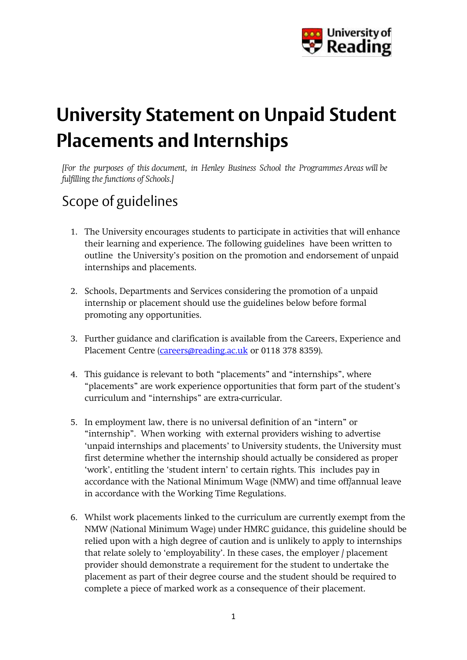

# **University Statement on Unpaid Student Placements and Internships**

*[For the purposes of this document, in Henley Business School the Programmes Areas will be fulfilling the functions of Schools.]*

## Scope of guidelines

- 1. The University encourages students to participate in activities that will enhance their learning and experience. The following guidelines have been written to outline the University's position on the promotion and endorsement of unpaid internships and placements.
- 2. Schools, Departments and Services considering the promotion of a unpaid internship or placement should use the guidelines below before formal promoting any opportunities.
- 3. Further guidance and clarification is available from the Careers, Experience and Placement Centre [\(careers@reading.ac.uk](mailto:careers@reading.ac.uk) or 0118 378 8359).
- 4. This guidance is relevant to both "placements" and "internships", where "placements" are work experience opportunities that form part of the student's curriculum and "internships" are extra-curricular.
- 5. In employment law, there is no universal definition of an "intern" or "internship". When working with external providers wishing to advertise 'unpaid internships and placements' to University students, the University must first determine whether the internship should actually be considered as proper 'work', entitling the 'student intern' to certain rights. This includes pay in accordance with the National Minimum Wage (NMW) and time off/annual leave in accordance with the Working Time Regulations.
- 6. Whilst work placements linked to the curriculum are currently exempt from the NMW (National Minimum Wage) under HMRC guidance, this guideline should be relied upon with a high degree of caution and is unlikely to apply to internships that relate solely to 'employability'. In these cases, the employer / placement provider should demonstrate a requirement for the student to undertake the placement as part of their degree course and the student should be required to complete a piece of marked work as a consequence of their placement.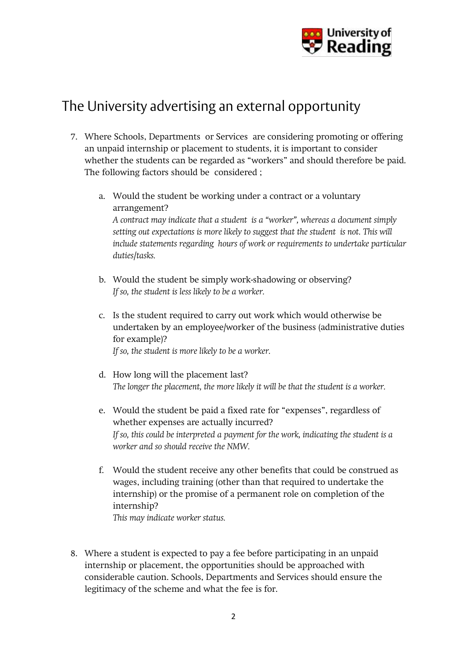

### The University advertising an external opportunity

- 7. Where Schools, Departments or Services are considering promoting or offering an unpaid internship or placement to students, it is important to consider whether the students can be regarded as "workers" and should therefore be paid. The following factors should be considered ;
	- a. Would the student be working under a contract or a voluntary arrangement? *A contract may indicate that a student is a "worker", whereas a document simply setting out expectations is more likely to suggest that the student is not. This will include statements regarding hours of work or requirements to undertake particular duties/tasks.*
	- b. Would the student be simply work-shadowing or observing? *If so, the student is less likely to be a worker.*
	- c. Is the student required to carry out work which would otherwise be undertaken by an employee/worker of the business (administrative duties for example)? *If so, the student is more likely to be a worker.*
	- d. How long will the placement last? *The longer the placement, the more likely it will be that the student is a worker.*
	- e. Would the student be paid a fixed rate for "expenses", regardless of whether expenses are actually incurred? *If so, this could be interpreted a payment for the work, indicating the student is a worker and so should receive the NMW.*
	- f. Would the student receive any other benefits that could be construed as wages, including training (other than that required to undertake the internship) or the promise of a permanent role on completion of the internship? *This may indicate worker status.*
- 8. Where a student is expected to pay a fee before participating in an unpaid internship or placement, the opportunities should be approached with considerable caution. Schools, Departments and Services should ensure the legitimacy of the scheme and what the fee is for.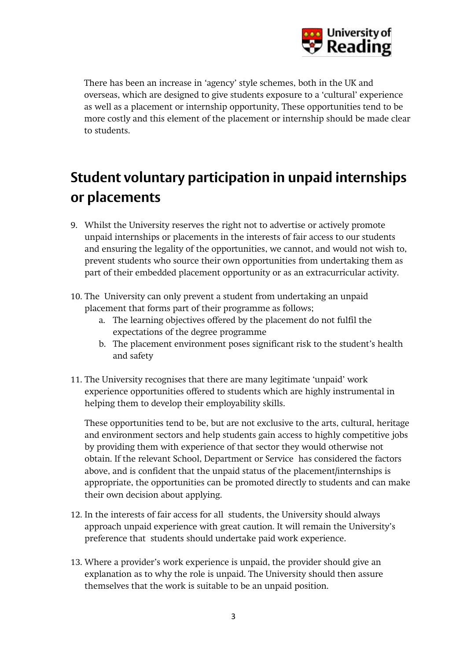

There has been an increase in 'agency' style schemes, both in the UK and overseas, which are designed to give students exposure to a 'cultural' experience as well as a placement or internship opportunity, These opportunities tend to be more costly and this element of the placement or internship should be made clear to students.

## **Student voluntary participation in unpaid internships or placements**

- 9. Whilst the University reserves the right not to advertise or actively promote unpaid internships or placements in the interests of fair access to our students and ensuring the legality of the opportunities, we cannot, and would not wish to, prevent students who source their own opportunities from undertaking them as part of their embedded placement opportunity or as an extracurricular activity.
- 10. The University can only prevent a student from undertaking an unpaid placement that forms part of their programme as follows;
	- a. The learning objectives offered by the placement do not fulfil the expectations of the degree programme
	- b. The placement environment poses significant risk to the student's health and safety
- 11. The University recognises that there are many legitimate 'unpaid' work experience opportunities offered to students which are highly instrumental in helping them to develop their employability skills.

These opportunities tend to be, but are not exclusive to the arts, cultural, heritage and environment sectors and help students gain access to highly competitive jobs by providing them with experience of that sector they would otherwise not obtain. If the relevant School, Department or Service has considered the factors above, and is confident that the unpaid status of the placement/internships is appropriate, the opportunities can be promoted directly to students and can make their own decision about applying.

- 12. In the interests of fair access for all students, the University should always approach unpaid experience with great caution. It will remain the University's preference that students should undertake paid work experience.
- 13. Where a provider's work experience is unpaid, the provider should give an explanation as to why the role is unpaid. The University should then assure themselves that the work is suitable to be an unpaid position.